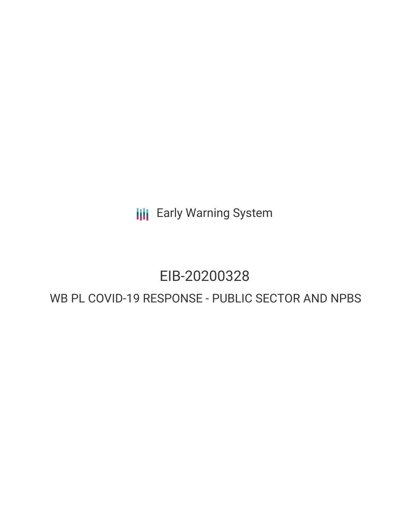**III** Early Warning System

# EIB-20200328

## WB PL COVID-19 RESPONSE - PUBLIC SECTOR AND NPBS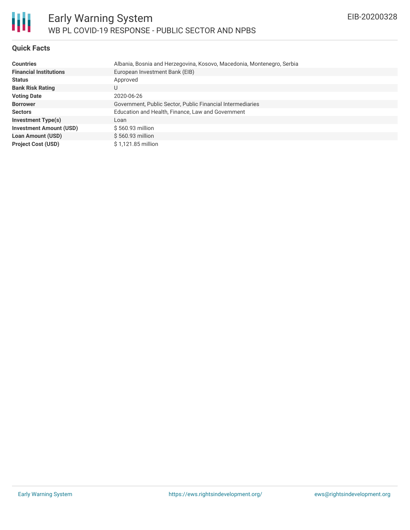

#### **Quick Facts**

| <b>Countries</b>               | Albania, Bosnia and Herzegovina, Kosovo, Macedonia, Montenegro, Serbia |
|--------------------------------|------------------------------------------------------------------------|
| <b>Financial Institutions</b>  | European Investment Bank (EIB)                                         |
| <b>Status</b>                  | Approved                                                               |
| <b>Bank Risk Rating</b>        | U                                                                      |
| <b>Voting Date</b>             | 2020-06-26                                                             |
| <b>Borrower</b>                | Government, Public Sector, Public Financial Intermediaries             |
| <b>Sectors</b>                 | Education and Health, Finance, Law and Government                      |
| <b>Investment Type(s)</b>      | Loan                                                                   |
| <b>Investment Amount (USD)</b> | $$560.93$ million                                                      |
| <b>Loan Amount (USD)</b>       | $$560.93$ million                                                      |
| <b>Project Cost (USD)</b>      | \$1,121.85 million                                                     |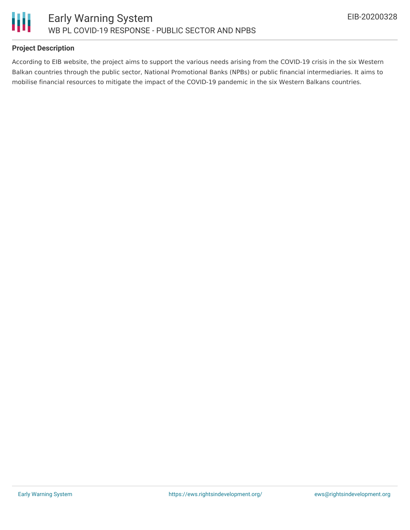

#### **Project Description**

According to EIB website, the project aims to support the various needs arising from the COVID-19 crisis in the six Western Balkan countries through the public sector, National Promotional Banks (NPBs) or public financial intermediaries. It aims to mobilise financial resources to mitigate the impact of the COVID-19 pandemic in the six Western Balkans countries.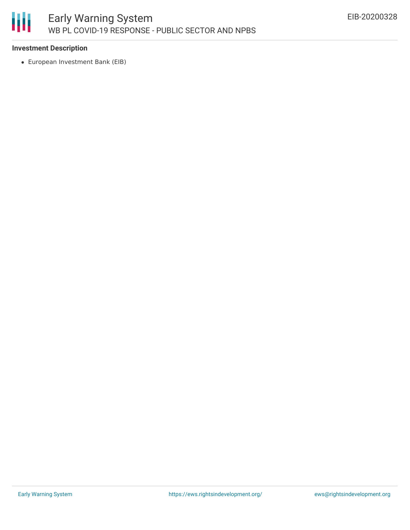

#### **Investment Description**

European Investment Bank (EIB)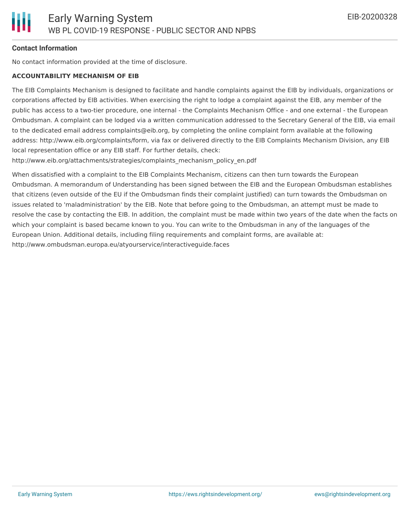

#### **Contact Information**

No contact information provided at the time of disclosure.

#### **ACCOUNTABILITY MECHANISM OF EIB**

The EIB Complaints Mechanism is designed to facilitate and handle complaints against the EIB by individuals, organizations or corporations affected by EIB activities. When exercising the right to lodge a complaint against the EIB, any member of the public has access to a two-tier procedure, one internal - the Complaints Mechanism Office - and one external - the European Ombudsman. A complaint can be lodged via a written communication addressed to the Secretary General of the EIB, via email to the dedicated email address complaints@eib.org, by completing the online complaint form available at the following address: http://www.eib.org/complaints/form, via fax or delivered directly to the EIB Complaints Mechanism Division, any EIB local representation office or any EIB staff. For further details, check:

http://www.eib.org/attachments/strategies/complaints\_mechanism\_policy\_en.pdf

When dissatisfied with a complaint to the EIB Complaints Mechanism, citizens can then turn towards the European Ombudsman. A memorandum of Understanding has been signed between the EIB and the European Ombudsman establishes that citizens (even outside of the EU if the Ombudsman finds their complaint justified) can turn towards the Ombudsman on issues related to 'maladministration' by the EIB. Note that before going to the Ombudsman, an attempt must be made to resolve the case by contacting the EIB. In addition, the complaint must be made within two years of the date when the facts on which your complaint is based became known to you. You can write to the Ombudsman in any of the languages of the European Union. Additional details, including filing requirements and complaint forms, are available at: http://www.ombudsman.europa.eu/atyourservice/interactiveguide.faces